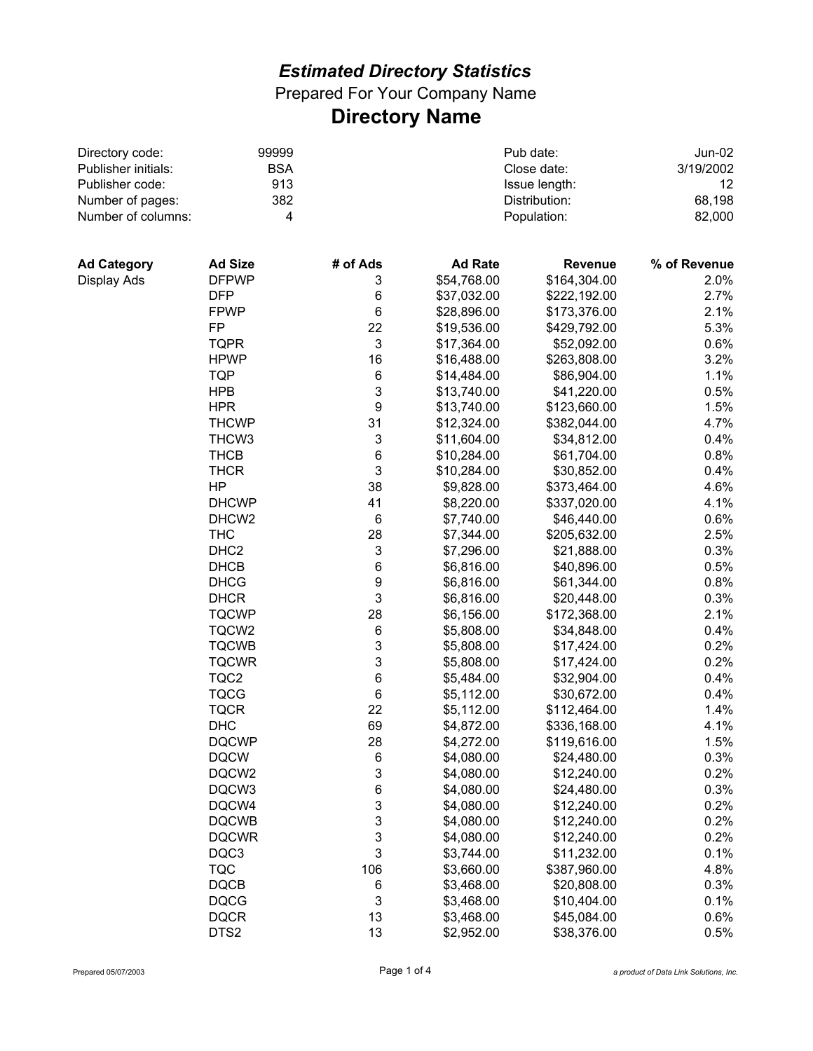Prepared For Your Company Name **Directory Name**

| Directory code:     | 99999<br><b>BSA</b><br>913 |                  | Pub date:      | <b>Jun-02</b><br>3/19/2002<br>$12 \overline{ }$ |                  |
|---------------------|----------------------------|------------------|----------------|-------------------------------------------------|------------------|
| Publisher initials: |                            |                  | Close date:    |                                                 |                  |
| Publisher code:     |                            |                  | Issue length:  |                                                 |                  |
| Number of pages:    | 382                        |                  |                | Distribution:                                   | 68,198<br>82,000 |
| Number of columns:  | 4                          |                  |                | Population:                                     |                  |
|                     |                            |                  |                |                                                 |                  |
| <b>Ad Category</b>  | <b>Ad Size</b>             | # of Ads         | <b>Ad Rate</b> | <b>Revenue</b>                                  | % of Revenue     |
| Display Ads         | <b>DFPWP</b>               | 3                | \$54,768.00    | \$164,304.00                                    | 2.0%             |
|                     | <b>DFP</b>                 | 6                | \$37,032.00    | \$222,192.00                                    | 2.7%             |
|                     | <b>FPWP</b>                | $\,6$            | \$28,896.00    | \$173,376.00                                    | 2.1%             |
|                     | FP                         | 22               | \$19,536.00    | \$429,792.00                                    | 5.3%             |
|                     | <b>TQPR</b>                | 3                | \$17,364.00    | \$52,092.00                                     | 0.6%             |
|                     | <b>HPWP</b>                | 16               | \$16,488.00    | \$263,808.00                                    | 3.2%             |
|                     | <b>TQP</b>                 | $\,6$            | \$14,484.00    | \$86,904.00                                     | 1.1%             |
|                     | <b>HPB</b>                 | 3                | \$13,740.00    | \$41,220.00                                     | 0.5%             |
|                     | <b>HPR</b>                 | $\boldsymbol{9}$ | \$13,740.00    | \$123,660.00                                    | 1.5%             |
|                     | <b>THCWP</b>               | 31               | \$12,324.00    | \$382,044.00                                    | 4.7%             |
|                     | THCW <sub>3</sub>          | 3                | \$11,604.00    | \$34,812.00                                     | 0.4%             |
|                     | <b>THCB</b>                | 6                | \$10,284.00    | \$61,704.00                                     | 0.8%             |
|                     | <b>THCR</b>                | $\mathsf 3$      | \$10,284.00    | \$30,852.00                                     | 0.4%             |
|                     | <b>HP</b>                  | 38               | \$9,828.00     | \$373,464.00                                    | 4.6%             |
|                     | <b>DHCWP</b>               | 41               | \$8,220.00     | \$337,020.00                                    | 4.1%             |
|                     | DHCW <sub>2</sub>          | $\,6$            | \$7,740.00     | \$46,440.00                                     | 0.6%             |
|                     | <b>THC</b>                 | 28               | \$7,344.00     | \$205,632.00                                    | 2.5%             |
|                     | DHC <sub>2</sub>           | 3                | \$7,296.00     | \$21,888.00                                     | 0.3%             |
|                     | <b>DHCB</b>                | 6                | \$6,816.00     | \$40,896.00                                     | 0.5%             |
|                     | <b>DHCG</b>                | 9                | \$6,816.00     | \$61,344.00                                     | 0.8%             |
|                     | <b>DHCR</b>                | $\mathsf 3$      | \$6,816.00     | \$20,448.00                                     | 0.3%             |
|                     | <b>TQCWP</b>               | 28               | \$6,156.00     | \$172,368.00                                    | 2.1%             |
|                     | TQCW2                      | $\,6$            | \$5,808.00     | \$34,848.00                                     | 0.4%             |
|                     | <b>TQCWB</b>               | 3                | \$5,808.00     | \$17,424.00                                     | 0.2%             |
|                     | <b>TQCWR</b>               | 3                | \$5,808.00     | \$17,424.00                                     | 0.2%             |
|                     | TQC2                       | 6                | \$5,484.00     | \$32,904.00                                     | 0.4%             |
|                     | <b>TQCG</b>                | $\,6$            | \$5,112.00     | \$30,672.00                                     | 0.4%             |
|                     | <b>TQCR</b>                | 22               | \$5,112.00     | \$112,464.00                                    | 1.4%             |
|                     | <b>DHC</b>                 | 69               | \$4,872.00     | \$336,168.00                                    | 4.1%             |
|                     | <b>DQCWP</b>               | 28               | \$4,272.00     | \$119,616.00                                    | 1.5%             |
|                     | <b>DQCW</b>                | 6                | \$4,080.00     | \$24,480.00                                     | 0.3%             |
|                     | DQCW2                      | 3                | \$4,080.00     | \$12,240.00                                     | 0.2%             |
|                     | DQCW3                      | 6                | \$4,080.00     | \$24,480.00                                     | 0.3%             |
|                     | DQCW4                      | 3                | \$4,080.00     | \$12,240.00                                     | 0.2%             |
|                     | <b>DQCWB</b>               | 3                | \$4,080.00     | \$12,240.00                                     | 0.2%             |
|                     | <b>DQCWR</b>               | 3                | \$4,080.00     | \$12,240.00                                     | 0.2%             |
|                     | DQC3                       | 3                | \$3,744.00     | \$11,232.00                                     | 0.1%             |
|                     | <b>TQC</b>                 | 106              | \$3,660.00     | \$387,960.00                                    | 4.8%             |
|                     | <b>DQCB</b>                | 6                | \$3,468.00     | \$20,808.00                                     | 0.3%             |
|                     | <b>DQCG</b>                | 3                | \$3,468.00     | \$10,404.00                                     | 0.1%             |
|                     | <b>DQCR</b>                | 13               | \$3,468.00     | \$45,084.00                                     | 0.6%             |

DTS2 13 \$2,952.00 \$38,376.00 0.5%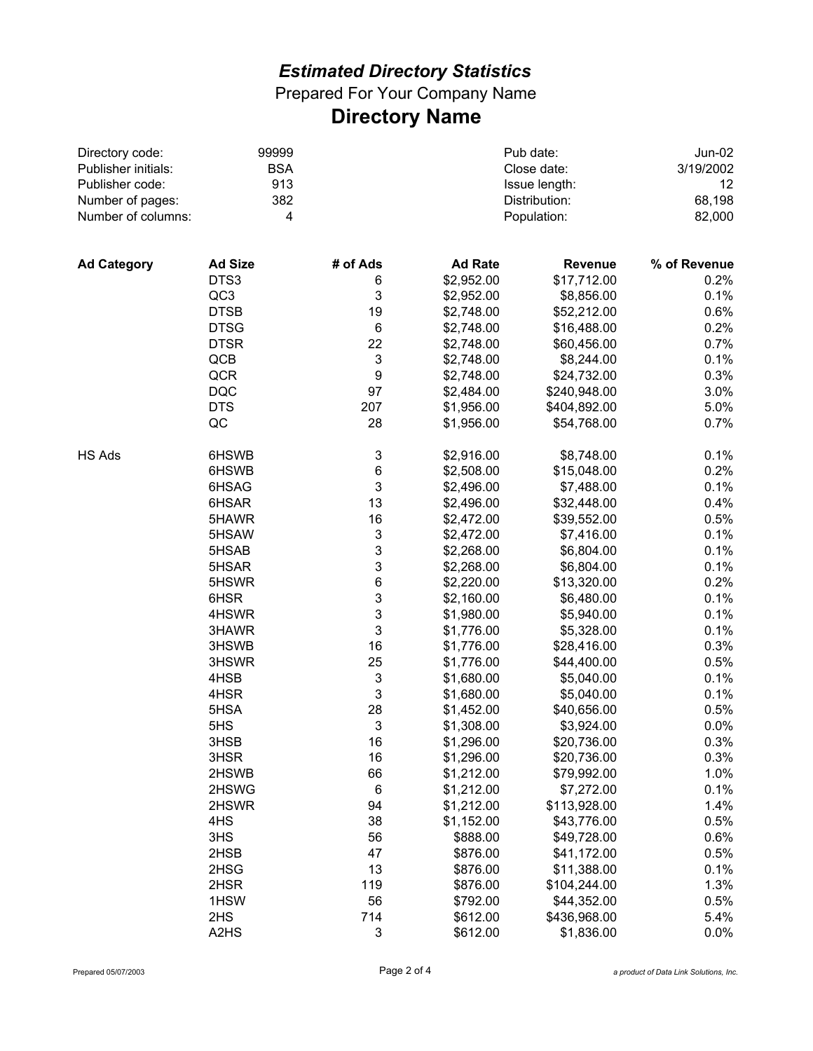Prepared For Your Company Name **Directory Name**

| Directory code:     | 99999                         |                           |                | Pub date:       | Jun-02       |
|---------------------|-------------------------------|---------------------------|----------------|-----------------|--------------|
| Publisher initials: | <b>BSA</b><br>913             |                           | Close date:    | 3/19/2002<br>12 |              |
| Publisher code:     |                               |                           | Issue length:  |                 |              |
| Number of pages:    | 382                           |                           |                | Distribution:   | 68,198       |
| Number of columns:  | 4                             |                           |                | Population:     | 82,000       |
|                     |                               |                           |                |                 |              |
| <b>Ad Category</b>  | <b>Ad Size</b>                | # of Ads                  | <b>Ad Rate</b> | <b>Revenue</b>  | % of Revenue |
|                     | DTS3                          | 6                         | \$2,952.00     | \$17,712.00     | 0.2%         |
|                     | QC3                           | 3                         | \$2,952.00     | \$8,856.00      | 0.1%         |
|                     | <b>DTSB</b>                   | 19                        | \$2,748.00     | \$52,212.00     | 0.6%         |
|                     | <b>DTSG</b>                   | 6                         | \$2,748.00     | \$16,488.00     | 0.2%         |
|                     | <b>DTSR</b>                   | 22                        | \$2,748.00     | \$60,456.00     | 0.7%         |
|                     | QCB                           | $\mathbf 3$               | \$2,748.00     | \$8,244.00      | 0.1%         |
|                     | QCR                           | 9                         | \$2,748.00     | \$24,732.00     | 0.3%         |
|                     | <b>DQC</b>                    | 97                        | \$2,484.00     | \$240,948.00    | 3.0%         |
|                     | <b>DTS</b>                    | 207                       | \$1,956.00     | \$404,892.00    | 5.0%         |
|                     | QC                            | 28                        | \$1,956.00     | \$54,768.00     | 0.7%         |
| HS Ads              | 6HSWB                         | 3                         | \$2,916.00     | \$8,748.00      | 0.1%         |
|                     | 6HSWB                         | 6                         | \$2,508.00     | \$15,048.00     | 0.2%         |
|                     | 6HSAG                         | $\mathbf{3}$              | \$2,496.00     | \$7,488.00      | 0.1%         |
|                     | 6HSAR                         | 13                        | \$2,496.00     | \$32,448.00     | 0.4%         |
|                     | 5HAWR                         | 16                        | \$2,472.00     | \$39,552.00     | 0.5%         |
|                     | 5HSAW                         | 3                         | \$2,472.00     | \$7,416.00      | 0.1%         |
|                     | 5HSAB                         | 3                         | \$2,268.00     | \$6,804.00      | 0.1%         |
|                     | 5HSAR                         | 3                         | \$2,268.00     | \$6,804.00      | 0.1%         |
|                     | 5HSWR                         | 6                         | \$2,220.00     | \$13,320.00     | 0.2%         |
|                     | 6HSR                          | 3                         | \$2,160.00     | \$6,480.00      | 0.1%         |
|                     | 4HSWR                         | 3                         | \$1,980.00     | \$5,940.00      | 0.1%         |
|                     | 3HAWR                         | $\mathbf{3}$              | \$1,776.00     | \$5,328.00      | 0.1%         |
|                     | 3HSWB                         | 16                        | \$1,776.00     | \$28,416.00     | 0.3%         |
|                     | 3HSWR                         | 25                        | \$1,776.00     | \$44,400.00     | 0.5%         |
|                     | 4HSB                          | $\ensuremath{\mathsf{3}}$ | \$1,680.00     | \$5,040.00      | 0.1%         |
|                     | 4HSR                          | $\mathbf 3$               | \$1,680.00     | \$5,040.00      | 0.1%         |
|                     | 5HSA                          | 28                        | \$1,452.00     | \$40,656.00     | 0.5%         |
|                     | 5HS                           | 3                         | \$1,308.00     | \$3,924.00      | 0.0%         |
|                     | 3HSB                          | 16                        | \$1,296.00     | \$20,736.00     | 0.3%         |
|                     | 3HSR                          | 16                        | \$1,296.00     | \$20,736.00     | 0.3%         |
|                     | 2HSWB                         | 66                        | \$1,212.00     | \$79,992.00     | 1.0%         |
|                     | 2HSWG                         | 6                         | \$1,212.00     | \$7,272.00      | 0.1%         |
|                     | 2HSWR                         | 94                        | \$1,212.00     | \$113,928.00    | 1.4%         |
|                     | 4HS                           | 38                        | \$1,152.00     | \$43,776.00     | 0.5%         |
|                     | 3HS                           | 56                        | \$888.00       | \$49,728.00     | 0.6%         |
|                     | 2HSB                          | 47                        | \$876.00       | \$41,172.00     | 0.5%         |
|                     | 2HSG                          | 13                        | \$876.00       | \$11,388.00     | 0.1%         |
|                     | 2HSR                          | 119                       | \$876.00       | \$104,244.00    | 1.3%         |
|                     | 1HSW                          | 56                        | \$792.00       | \$44,352.00     | 0.5%         |
|                     | 2HS                           | 714                       | \$612.00       | \$436,968.00    | 5.4%         |
|                     | A <sub>2</sub> H <sub>S</sub> | $\ensuremath{\mathsf{3}}$ | \$612.00       | \$1,836.00      | 0.0%         |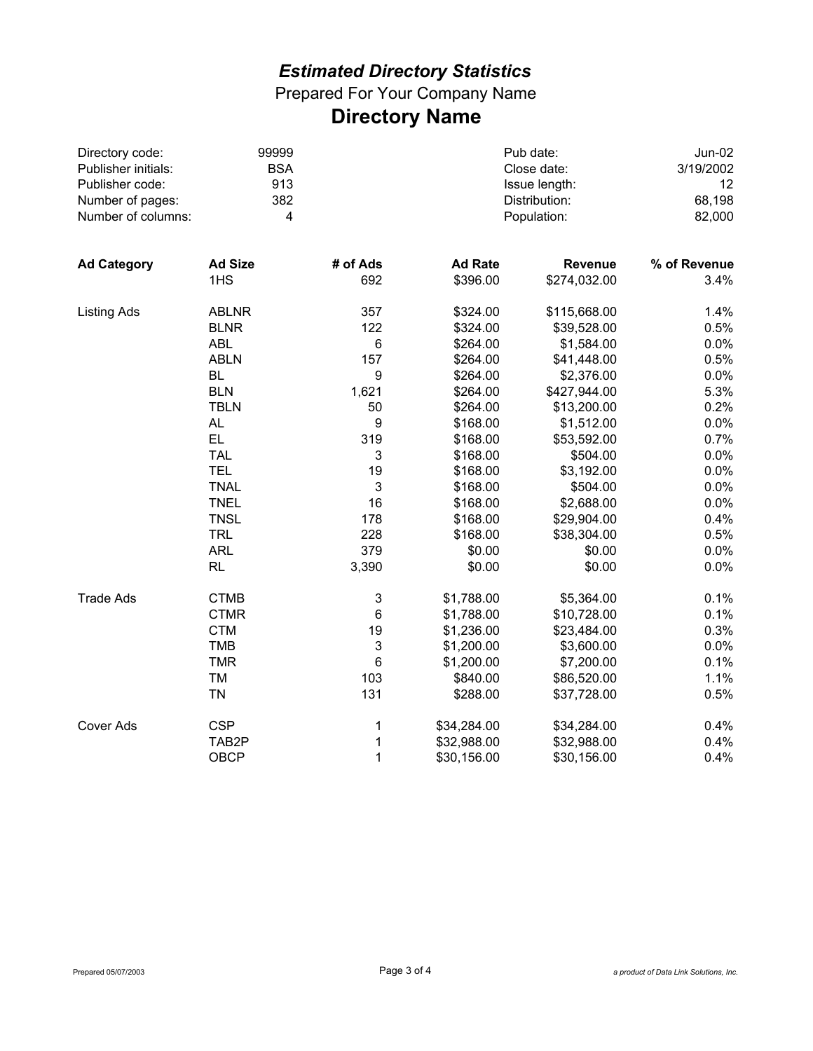Prepared For Your Company Name **Directory Name**

| Directory code:     | 99999                   |                           | Pub date:      | <b>Jun-02</b> |              |
|---------------------|-------------------------|---------------------------|----------------|---------------|--------------|
| Publisher initials: | <b>BSA</b>              |                           | Close date:    | 3/19/2002     |              |
| Publisher code:     | 913                     |                           |                | Issue length: | 12<br>68,198 |
| Number of pages:    | 382                     |                           |                | Distribution: |              |
| Number of columns:  | $\overline{\mathbf{4}}$ |                           | Population:    |               | 82,000       |
|                     |                         |                           |                |               |              |
| <b>Ad Category</b>  | <b>Ad Size</b>          | # of Ads                  | <b>Ad Rate</b> | Revenue       | % of Revenue |
|                     | 1HS                     | 692                       | \$396.00       | \$274,032.00  | 3.4%         |
| <b>Listing Ads</b>  | <b>ABLNR</b>            | 357                       | \$324.00       | \$115,668.00  | 1.4%         |
|                     | <b>BLNR</b>             | 122                       | \$324.00       | \$39,528.00   | 0.5%         |
|                     | <b>ABL</b>              | $\,6$                     | \$264.00       | \$1,584.00    | 0.0%         |
|                     | <b>ABLN</b>             | 157                       | \$264.00       | \$41,448.00   | 0.5%         |
|                     | <b>BL</b>               | $\boldsymbol{9}$          | \$264.00       | \$2,376.00    | 0.0%         |
|                     | <b>BLN</b>              | 1,621                     | \$264.00       | \$427,944.00  | 5.3%         |
|                     | <b>TBLN</b>             | 50                        | \$264.00       | \$13,200.00   | 0.2%         |
|                     | AL.                     | $\boldsymbol{9}$          | \$168.00       | \$1,512.00    | 0.0%         |
|                     | EL.                     | 319                       | \$168.00       | \$53,592.00   | 0.7%         |
|                     | <b>TAL</b>              | 3                         | \$168.00       | \$504.00      | 0.0%         |
|                     | <b>TEL</b>              | 19                        | \$168.00       | \$3,192.00    | 0.0%         |
|                     | <b>TNAL</b>             | $\mathbf{3}$              | \$168.00       | \$504.00      | 0.0%         |
|                     | <b>TNEL</b>             | 16                        | \$168.00       | \$2,688.00    | 0.0%         |
|                     | <b>TNSL</b>             | 178                       | \$168.00       | \$29,904.00   | 0.4%         |
|                     | <b>TRL</b>              | 228                       | \$168.00       | \$38,304.00   | 0.5%         |
|                     | <b>ARL</b>              | 379                       | \$0.00         | \$0.00        | 0.0%         |
|                     | <b>RL</b>               | 3,390                     | \$0.00         | \$0.00        | 0.0%         |
| <b>Trade Ads</b>    | <b>CTMB</b>             | $\ensuremath{\mathsf{3}}$ | \$1,788.00     | \$5,364.00    | 0.1%         |
|                     | <b>CTMR</b>             | $\,6$                     | \$1,788.00     | \$10,728.00   | 0.1%         |
|                     | <b>CTM</b>              | 19                        | \$1,236.00     | \$23,484.00   | 0.3%         |
|                     | <b>TMB</b>              | $\sqrt{3}$                | \$1,200.00     | \$3,600.00    | 0.0%         |
|                     | <b>TMR</b>              | $\,6$                     | \$1,200.00     | \$7,200.00    | 0.1%         |
|                     | TM                      | 103                       | \$840.00       | \$86,520.00   | 1.1%         |
|                     | <b>TN</b>               | 131                       | \$288.00       | \$37,728.00   | 0.5%         |
| <b>Cover Ads</b>    | <b>CSP</b>              | 1                         | \$34,284.00    | \$34,284.00   | 0.4%         |
|                     | TAB <sub>2</sub> P      | $\mathbf 1$               | \$32,988.00    | \$32,988.00   | 0.4%         |
|                     | <b>OBCP</b>             | 1                         | \$30,156.00    | \$30,156.00   | 0.4%         |